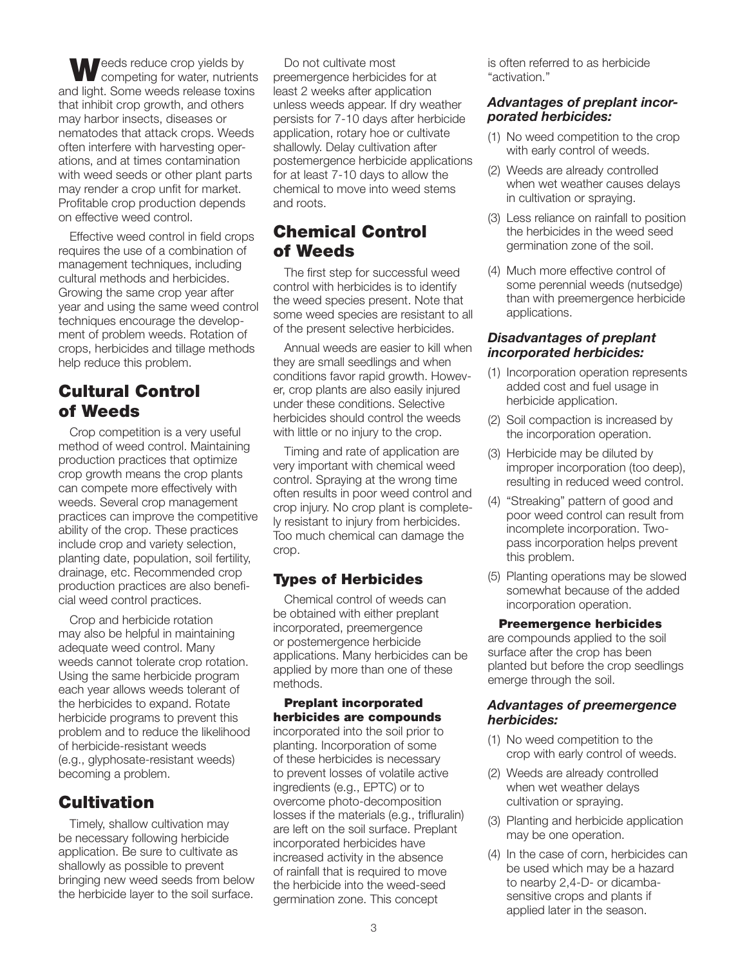eeds reduce crop yields by competing for water, nutrients and light. Some weeds release toxins that inhibit crop growth, and others may harbor insects, diseases or nematodes that attack crops. Weeds often interfere with harvesting operations, and at times contamination with weed seeds or other plant parts may render a crop unfit for market. Profitable crop production depends on effective weed control.

Effective weed control in field crops requires the use of a combination of management techniques, including cultural methods and herbicides. Growing the same crop year after year and using the same weed control techniques encourage the development of problem weeds. Rotation of crops, herbicides and tillage methods help reduce this problem.

# Cultural Control of Weeds

Crop competition is a very useful method of weed control. Maintaining production practices that optimize crop growth means the crop plants can compete more effectively with weeds. Several crop management practices can improve the competitive ability of the crop. These practices include crop and variety selection, planting date, population, soil fertility, drainage, etc. Recommended crop production practices are also beneficial weed control practices.

Crop and herbicide rotation may also be helpful in maintaining adequate weed control. Many weeds cannot tolerate crop rotation. Using the same herbicide program each year allows weeds tolerant of the herbicides to expand. Rotate herbicide programs to prevent this problem and to reduce the likelihood of herbicide-resistant weeds (e.g., glyphosate-resistant weeds) becoming a problem.

# **Cultivation**

Timely, shallow cultivation may be necessary following herbicide application. Be sure to cultivate as shallowly as possible to prevent bringing new weed seeds from below the herbicide layer to the soil surface.

Do not cultivate most preemergence herbicides for at least 2 weeks after application unless weeds appear. If dry weather persists for 7-10 days after herbicide application, rotary hoe or cultivate shallowly. Delay cultivation after postemergence herbicide applications for at least 7-10 days to allow the chemical to move into weed stems and roots.

# Chemical Control of Weeds

The first step for successful weed control with herbicides is to identify the weed species present. Note that some weed species are resistant to all of the present selective herbicides.

Annual weeds are easier to kill when they are small seedlings and when conditions favor rapid growth. However, crop plants are also easily injured under these conditions. Selective herbicides should control the weeds with little or no injury to the crop.

Timing and rate of application are very important with chemical weed control. Spraying at the wrong time often results in poor weed control and crop injury. No crop plant is completely resistant to injury from herbicides. Too much chemical can damage the crop.

### Types of Herbicides

Chemical control of weeds can be obtained with either preplant incorporated, preemergence or postemergence herbicide applications. Many herbicides can be applied by more than one of these methods.

#### Preplant incorporated herbicides are compounds

incorporated into the soil prior to planting. Incorporation of some of these herbicides is necessary to prevent losses of volatile active ingredients (e.g., EPTC) or to overcome photo-decomposition losses if the materials (e.g., trifluralin) are left on the soil surface. Preplant incorporated herbicides have increased activity in the absence of rainfall that is required to move the herbicide into the weed-seed germination zone. This concept

is often referred to as herbicide "activation."

#### *Advantages of preplant incorporated herbicides:*

- (1) No weed competition to the crop with early control of weeds.
- (2) Weeds are already controlled when wet weather causes delays in cultivation or spraying.
- (3) Less reliance on rainfall to position the herbicides in the weed seed germination zone of the soil.
- (4) Much more effective control of some perennial weeds (nutsedge) than with preemergence herbicide applications.

#### *Disadvantages of preplant incorporated herbicides:*

- (1) Incorporation operation represents added cost and fuel usage in herbicide application.
- (2) Soil compaction is increased by the incorporation operation.
- (3) Herbicide may be diluted by improper incorporation (too deep), resulting in reduced weed control.
- (4) "Streaking" pattern of good and poor weed control can result from incomplete incorporation. Twopass incorporation helps prevent this problem.
- (5) Planting operations may be slowed somewhat because of the added incorporation operation.

#### Preemergence herbicides

are compounds applied to the soil surface after the crop has been planted but before the crop seedlings emerge through the soil.

#### *Advantages of preemergence herbicides:*

- (1) No weed competition to the crop with early control of weeds.
- (2) Weeds are already controlled when wet weather delays cultivation or spraying.
- (3) Planting and herbicide application may be one operation.
- (4) In the case of corn, herbicides can be used which may be a hazard to nearby 2,4-D- or dicambasensitive crops and plants if applied later in the season.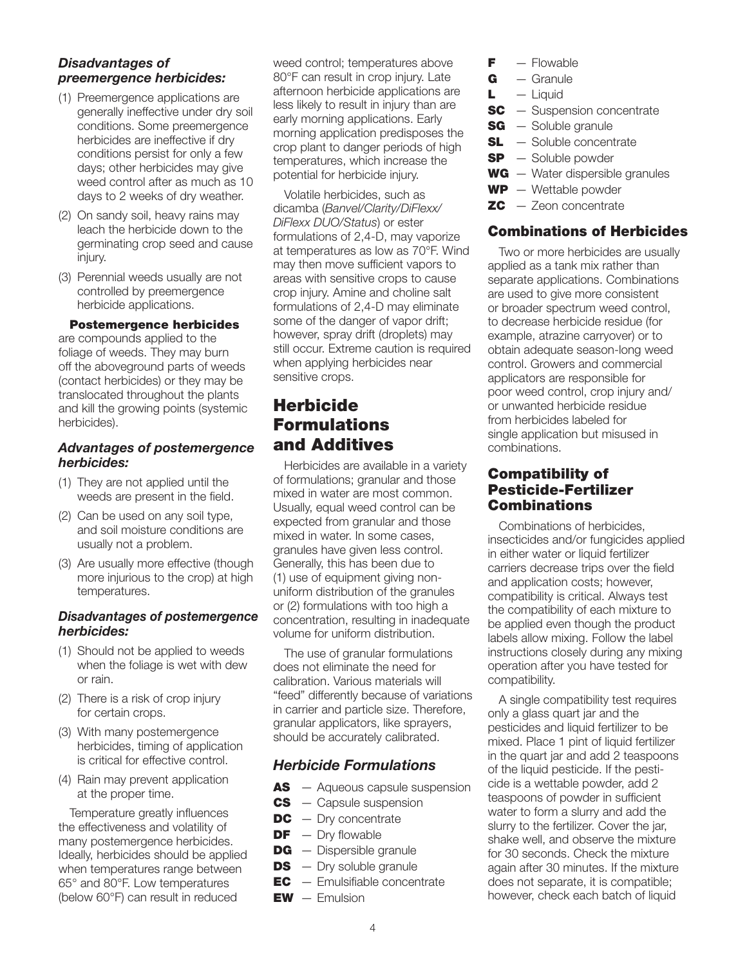#### *Disadvantages of preemergence herbicides:*

- (1) Preemergence applications are generally ineffective under dry soil conditions. Some preemergence herbicides are ineffective if dry conditions persist for only a few days; other herbicides may give weed control after as much as 10 days to 2 weeks of dry weather.
- (2) On sandy soil, heavy rains may leach the herbicide down to the germinating crop seed and cause injury.
- (3) Perennial weeds usually are not controlled by preemergence herbicide applications.

#### Postemergence herbicides

are compounds applied to the foliage of weeds. They may burn off the aboveground parts of weeds (contact herbicides) or they may be translocated throughout the plants and kill the growing points (systemic herbicides).

#### *Advantages of postemergence herbicides:*

- (1) They are not applied until the weeds are present in the field.
- (2) Can be used on any soil type, and soil moisture conditions are usually not a problem.
- (3) Are usually more effective (though more injurious to the crop) at high temperatures.

#### *Disadvantages of postemergence herbicides:*

- (1) Should not be applied to weeds when the foliage is wet with dew or rain.
- (2) There is a risk of crop injury for certain crops.
- (3) With many postemergence herbicides, timing of application is critical for effective control.
- (4) Rain may prevent application at the proper time.

Temperature greatly influences the effectiveness and volatility of many postemergence herbicides. Ideally, herbicides should be applied when temperatures range between 65° and 80°F. Low temperatures (below 60°F) can result in reduced

weed control; temperatures above 80°F can result in crop injury. Late afternoon herbicide applications are less likely to result in injury than are early morning applications. Early morning application predisposes the crop plant to danger periods of high temperatures, which increase the potential for herbicide injury.

Volatile herbicides, such as dicamba (*Banvel/Clarity/DiFlexx/ DiFlexx DUO/Status*) or ester formulations of 2,4-D, may vaporize at temperatures as low as 70°F. Wind may then move sufficient vapors to areas with sensitive crops to cause crop injury. Amine and choline salt formulations of 2,4-D may eliminate some of the danger of vapor drift; however, spray drift (droplets) may still occur. Extreme caution is required when applying herbicides near sensitive crops.

# **Herbicide** Formulations and Additives

Herbicides are available in a variety of formulations; granular and those mixed in water are most common. Usually, equal weed control can be expected from granular and those mixed in water. In some cases, granules have given less control. Generally, this has been due to (1) use of equipment giving nonuniform distribution of the granules or (2) formulations with too high a concentration, resulting in inadequate volume for uniform distribution.

The use of granular formulations does not eliminate the need for calibration. Various materials will "feed" differently because of variations in carrier and particle size. Therefore, granular applicators, like sprayers, should be accurately calibrated.

### *Herbicide Formulations*

- **AS** Aqueous capsule suspension
- **CS** Capsule suspension
- $DC Dry$  concentrate
- $DF Dry$  flowable
- **DG** Dispersible granule
- $DS Dry$  soluble granule
- $EC$  Emulsifiable concentrate
- $EW E$ mulsion
- $F -$  Flowable
- $G -$ Granule
- $L$  Liquid
- **SC** Suspension concentrate
- **SG** Soluble granule
- **SL** Soluble concentrate
- $SP -$  Soluble powder
- $WG Water$  dispersible granules
- $WP W$ ettable powder
- $ZC Z$ eon concentrate

### Combinations of Herbicides

Two or more herbicides are usually applied as a tank mix rather than separate applications. Combinations are used to give more consistent or broader spectrum weed control, to decrease herbicide residue (for example, atrazine carryover) or to obtain adequate season-long weed control. Growers and commercial applicators are responsible for poor weed control, crop injury and/ or unwanted herbicide residue from herbicides labeled for single application but misused in combinations.

### Compatibility of Pesticide-Fertilizer Combinations

Combinations of herbicides, insecticides and/or fungicides applied in either water or liquid fertilizer carriers decrease trips over the field and application costs; however, compatibility is critical. Always test the compatibility of each mixture to be applied even though the product labels allow mixing. Follow the label instructions closely during any mixing operation after you have tested for compatibility.

A single compatibility test requires only a glass quart jar and the pesticides and liquid fertilizer to be mixed. Place 1 pint of liquid fertilizer in the quart jar and add 2 teaspoons of the liquid pesticide. If the pesticide is a wettable powder, add 2 teaspoons of powder in sufficient water to form a slurry and add the slurry to the fertilizer. Cover the jar, shake well, and observe the mixture for 30 seconds. Check the mixture again after 30 minutes. If the mixture does not separate, it is compatible; however, check each batch of liquid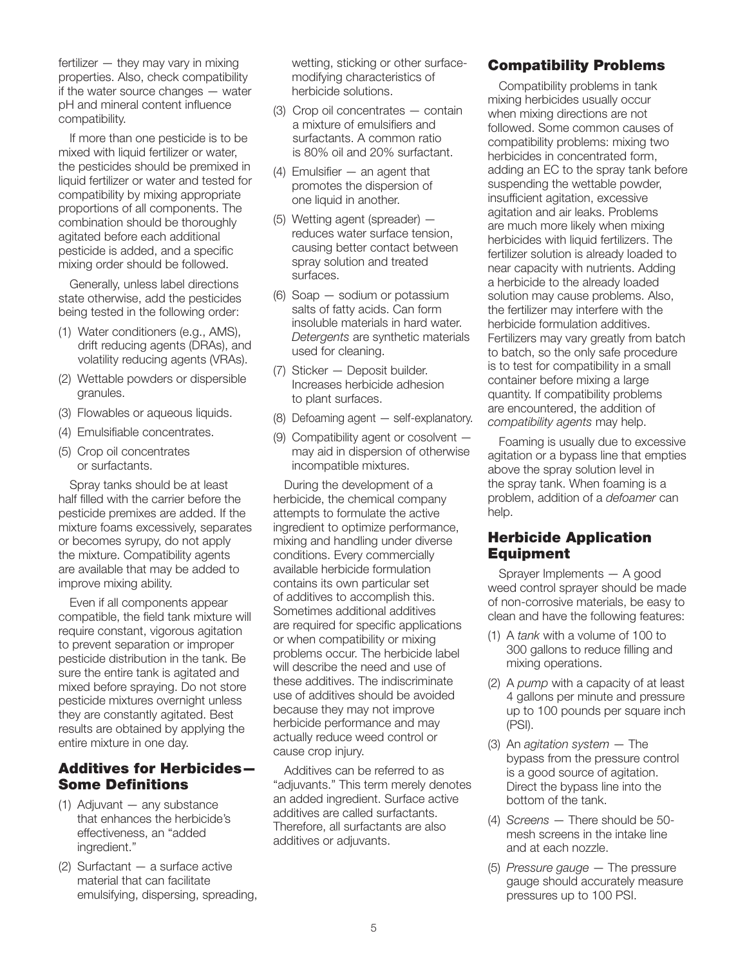fertilizer — they may vary in mixing properties. Also, check compatibility if the water source changes — water pH and mineral content influence compatibility.

If more than one pesticide is to be mixed with liquid fertilizer or water, the pesticides should be premixed in liquid fertilizer or water and tested for compatibility by mixing appropriate proportions of all components. The combination should be thoroughly agitated before each additional pesticide is added, and a specific mixing order should be followed.

Generally, unless label directions state otherwise, add the pesticides being tested in the following order:

- (1) Water conditioners (e.g., AMS), drift reducing agents (DRAs), and volatility reducing agents (VRAs).
- (2) Wettable powders or dispersible granules.
- (3) Flowables or aqueous liquids.
- (4) Emulsifiable concentrates.
- (5) Crop oil concentrates or surfactants.

Spray tanks should be at least half filled with the carrier before the pesticide premixes are added. If the mixture foams excessively, separates or becomes syrupy, do not apply the mixture. Compatibility agents are available that may be added to improve mixing ability.

Even if all components appear compatible, the field tank mixture will require constant, vigorous agitation to prevent separation or improper pesticide distribution in the tank. Be sure the entire tank is agitated and mixed before spraying. Do not store pesticide mixtures overnight unless they are constantly agitated. Best results are obtained by applying the entire mixture in one day.

### Additives for Herbicides— Some Definitions

- (1) Adjuvant any substance that enhances the herbicide's effectiveness, an "added ingredient."
- (2) Surfactant a surface active material that can facilitate emulsifying, dispersing, spreading,

wetting, sticking or other surfacemodifying characteristics of herbicide solutions.

- (3) Crop oil concentrates contain a mixture of emulsifiers and surfactants. A common ratio is 80% oil and 20% surfactant.
- (4) Emulsifier an agent that promotes the dispersion of one liquid in another.
- (5) Wetting agent (spreader) reduces water surface tension, causing better contact between spray solution and treated surfaces.
- (6) Soap sodium or potassium salts of fatty acids. Can form insoluble materials in hard water. *Detergents* are synthetic materials used for cleaning.
- (7) Sticker Deposit builder. Increases herbicide adhesion to plant surfaces.
- (8) Defoaming agent self-explanatory.
- (9) Compatibility agent or cosolvent may aid in dispersion of otherwise incompatible mixtures.

During the development of a herbicide, the chemical company attempts to formulate the active ingredient to optimize performance, mixing and handling under diverse conditions. Every commercially available herbicide formulation contains its own particular set of additives to accomplish this. Sometimes additional additives are required for specific applications or when compatibility or mixing problems occur. The herbicide label will describe the need and use of these additives. The indiscriminate use of additives should be avoided because they may not improve herbicide performance and may actually reduce weed control or cause crop injury.

Additives can be referred to as "adjuvants." This term merely denotes an added ingredient. Surface active additives are called surfactants. Therefore, all surfactants are also additives or adjuvants.

### Compatibility Problems

Compatibility problems in tank mixing herbicides usually occur when mixing directions are not followed. Some common causes of compatibility problems: mixing two herbicides in concentrated form, adding an EC to the spray tank before suspending the wettable powder, insufficient agitation, excessive agitation and air leaks. Problems are much more likely when mixing herbicides with liquid fertilizers. The fertilizer solution is already loaded to near capacity with nutrients. Adding a herbicide to the already loaded solution may cause problems. Also, the fertilizer may interfere with the herbicide formulation additives. Fertilizers may vary greatly from batch to batch, so the only safe procedure is to test for compatibility in a small container before mixing a large quantity. If compatibility problems are encountered, the addition of *compatibility agents* may help.

Foaming is usually due to excessive agitation or a bypass line that empties above the spray solution level in the spray tank. When foaming is a problem, addition of a *defoamer* can help.

### Herbicide Application Equipment

Sprayer Implements — A good weed control sprayer should be made of non-corrosive materials, be easy to clean and have the following features:

- (1) A *tank* with a volume of 100 to 300 gallons to reduce filling and mixing operations.
- (2) A *pump* with a capacity of at least 4 gallons per minute and pressure up to 100 pounds per square inch (PSI).
- (3) An *agitation system* The bypass from the pressure control is a good source of agitation. Direct the bypass line into the bottom of the tank.
- (4) *Screens* There should be 50 mesh screens in the intake line and at each nozzle.
- (5) *Pressure gauge* The pressure gauge should accurately measure pressures up to 100 PSI.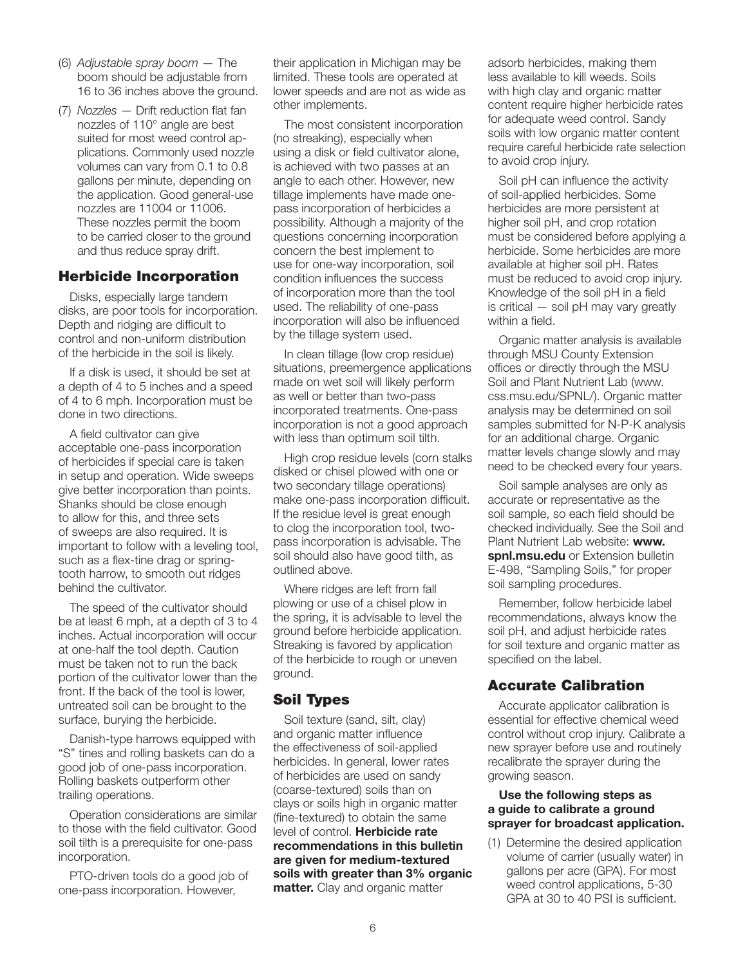- (6) *Adjustable spray boom* The boom should be adjustable from 16 to 36 inches above the ground.
- (7) *Nozzles* Drift reduction flat fan nozzles of 110° angle are best suited for most weed control applications. Commonly used nozzle volumes can vary from 0.1 to 0.8 gallons per minute, depending on the application. Good general-use nozzles are 11004 or 11006. These nozzles permit the boom to be carried closer to the ground and thus reduce spray drift.

#### Herbicide Incorporation

Disks, especially large tandem disks, are poor tools for incorporation. Depth and ridging are difficult to control and non-uniform distribution of the herbicide in the soil is likely.

If a disk is used, it should be set at a depth of 4 to 5 inches and a speed of 4 to 6 mph. Incorporation must be done in two directions.

A field cultivator can give acceptable one-pass incorporation of herbicides if special care is taken in setup and operation. Wide sweeps give better incorporation than points. Shanks should be close enough to allow for this, and three sets of sweeps are also required. It is important to follow with a leveling tool, such as a flex-tine drag or springtooth harrow, to smooth out ridges behind the cultivator.

The speed of the cultivator should be at least 6 mph, at a depth of 3 to 4 inches. Actual incorporation will occur at one-half the tool depth. Caution must be taken not to run the back portion of the cultivator lower than the front. If the back of the tool is lower, untreated soil can be brought to the surface, burying the herbicide.

Danish-type harrows equipped with "S" tines and rolling baskets can do a good job of one-pass incorporation. Rolling baskets outperform other trailing operations.

Operation considerations are similar to those with the field cultivator. Good soil tilth is a prerequisite for one-pass incorporation.

PTO-driven tools do a good job of one-pass incorporation. However,

their application in Michigan may be limited. These tools are operated at lower speeds and are not as wide as other implements.

The most consistent incorporation (no streaking), especially when using a disk or field cultivator alone, is achieved with two passes at an angle to each other. However, new tillage implements have made onepass incorporation of herbicides a possibility. Although a majority of the questions concerning incorporation concern the best implement to use for one-way incorporation, soil condition influences the success of incorporation more than the tool used. The reliability of one-pass incorporation will also be influenced by the tillage system used.

In clean tillage (low crop residue) situations, preemergence applications made on wet soil will likely perform as well or better than two-pass incorporated treatments. One-pass incorporation is not a good approach with less than optimum soil tilth.

High crop residue levels (corn stalks disked or chisel plowed with one or two secondary tillage operations) make one-pass incorporation difficult. If the residue level is great enough to clog the incorporation tool, twopass incorporation is advisable. The soil should also have good tilth, as outlined above.

Where ridges are left from fall plowing or use of a chisel plow in the spring, it is advisable to level the ground before herbicide application. Streaking is favored by application of the herbicide to rough or uneven ground.

### Soil Types

Soil texture (sand, silt, clay) and organic matter influence the effectiveness of soil-applied herbicides. In general, lower rates of herbicides are used on sandy (coarse-textured) soils than on clays or soils high in organic matter (fine-textured) to obtain the same level of control. Herbicide rate recommendations in this bulletin are given for medium-textured soils with greater than 3% organic matter. Clay and organic matter

adsorb herbicides, making them less available to kill weeds. Soils with high clay and organic matter content require higher herbicide rates for adequate weed control. Sandy soils with low organic matter content require careful herbicide rate selection to avoid crop injury.

Soil pH can influence the activity of soil-applied herbicides. Some herbicides are more persistent at higher soil pH, and crop rotation must be considered before applying a herbicide. Some herbicides are more available at higher soil pH. Rates must be reduced to avoid crop injury. Knowledge of the soil pH in a field is critical — soil pH may vary greatly within a field.

Organic matter analysis is available through MSU County Extension offices or directly through the MSU Soil and Plant Nutrient Lab (www. css.msu.edu/SPNL/). Organic matter analysis may be determined on soil samples submitted for N-P-K analysis for an additional charge. Organic matter levels change slowly and may need to be checked every four years.

Soil sample analyses are only as accurate or representative as the soil sample, so each field should be checked individually. See the Soil and Plant Nutrient Lab website: www. spnl.msu.edu or Extension bulletin E-498, "Sampling Soils," for proper soil sampling procedures.

Remember, follow herbicide label recommendations, always know the soil pH, and adjust herbicide rates for soil texture and organic matter as specified on the label.

#### Accurate Calibration

Accurate applicator calibration is essential for effective chemical weed control without crop injury. Calibrate a new sprayer before use and routinely recalibrate the sprayer during the growing season.

#### Use the following steps as a guide to calibrate a ground sprayer for broadcast application.

(1) Determine the desired application volume of carrier (usually water) in gallons per acre (GPA). For most weed control applications, 5-30 GPA at 30 to 40 PSI is sufficient.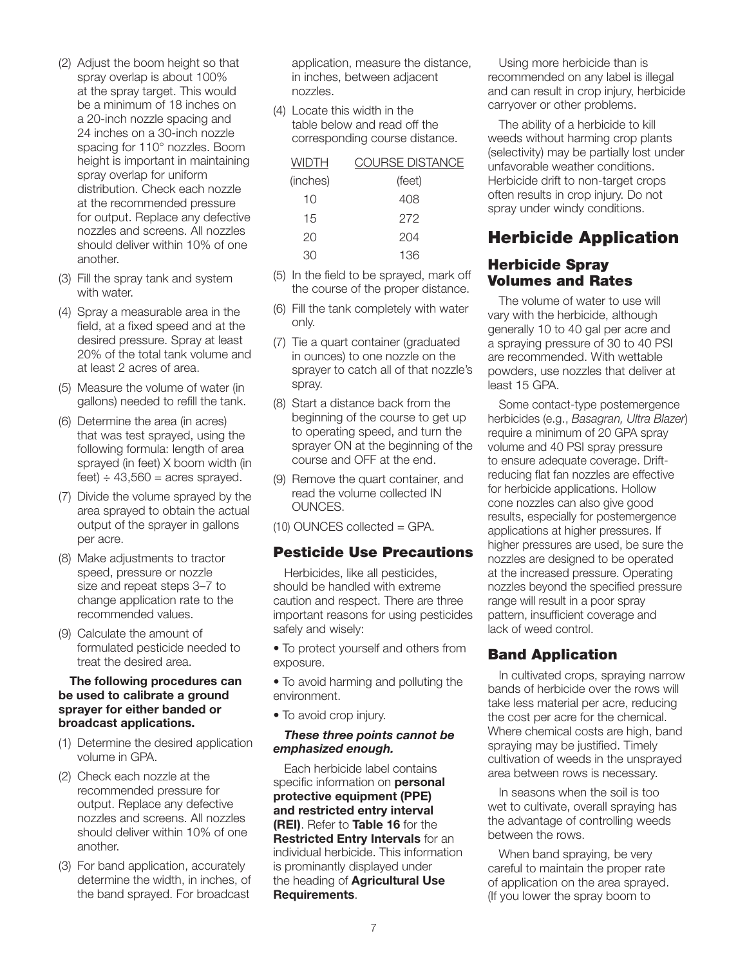- (2) Adjust the boom height so that spray overlap is about 100% at the spray target. This would be a minimum of 18 inches on a 20-inch nozzle spacing and 24 inches on a 30-inch nozzle spacing for 110° nozzles. Boom height is important in maintaining spray overlap for uniform distribution. Check each nozzle at the recommended pressure for output. Replace any defective nozzles and screens. All nozzles should deliver within 10% of one another.
- (3) Fill the spray tank and system with water.
- (4) Spray a measurable area in the field, at a fixed speed and at the desired pressure. Spray at least 20% of the total tank volume and at least 2 acres of area.
- (5) Measure the volume of water (in gallons) needed to refill the tank.
- (6) Determine the area (in acres) that was test sprayed, using the following formula: length of area sprayed (in feet) X boom width (in feet)  $\div$  43,560 = acres sprayed.
- (7) Divide the volume sprayed by the area sprayed to obtain the actual output of the sprayer in gallons per acre.
- (8) Make adjustments to tractor speed, pressure or nozzle size and repeat steps 3–7 to change application rate to the recommended values.
- (9) Calculate the amount of formulated pesticide needed to treat the desired area.

#### The following procedures can be used to calibrate a ground sprayer for either banded or broadcast applications.

- (1) Determine the desired application volume in GPA.
- (2) Check each nozzle at the recommended pressure for output. Replace any defective nozzles and screens. All nozzles should deliver within 10% of one another.
- (3) For band application, accurately determine the width, in inches, of the band sprayed. For broadcast

application, measure the distance, in inches, between adjacent nozzles.

(4) Locate this width in the table below and read off the corresponding course distance.

| WIDTH    | <b>COURSE DISTANCE</b> |
|----------|------------------------|
| (inches) | (feet)                 |
| 10       | 408                    |
| 15       | 272                    |
| 20       | 204                    |
|          | 136                    |

- (5) In the field to be sprayed, mark off the course of the proper distance.
- (6) Fill the tank completely with water only.
- (7) Tie a quart container (graduated in ounces) to one nozzle on the sprayer to catch all of that nozzle's spray.
- (8) Start a distance back from the beginning of the course to get up to operating speed, and turn the sprayer ON at the beginning of the course and OFF at the end.
- (9) Remove the quart container, and read the volume collected IN OUNCES.
- (10) OUNCES collected = GPA.

#### Pesticide Use Precautions

Herbicides, like all pesticides, should be handled with extreme caution and respect. There are three important reasons for using pesticides safely and wisely:

• To protect yourself and others from exposure.

• To avoid harming and polluting the environment.

• To avoid crop injury.

#### *These three points cannot be emphasized enough.*

Each herbicide label contains specific information on **personal** protective equipment (PPE) and restricted entry interval (REI). Refer to Table 16 for the Restricted Entry Intervals for an individual herbicide. This information is prominantly displayed under the heading of **Agricultural Use** Requirements.

Using more herbicide than is recommended on any label is illegal and can result in crop injury, herbicide carryover or other problems.

The ability of a herbicide to kill weeds without harming crop plants (selectivity) may be partially lost under unfavorable weather conditions. Herbicide drift to non-target crops often results in crop injury. Do not spray under windy conditions.

# Herbicide Application

### Herbicide Spray Volumes and Rates

The volume of water to use will vary with the herbicide, although generally 10 to 40 gal per acre and a spraying pressure of 30 to 40 PSI are recommended. With wettable powders, use nozzles that deliver at least 15 GPA.

Some contact-type postemergence herbicides (e.g., *Basagran, Ultra Blazer*) require a minimum of 20 GPA spray volume and 40 PSI spray pressure to ensure adequate coverage. Driftreducing flat fan nozzles are effective for herbicide applications. Hollow cone nozzles can also give good results, especially for postemergence applications at higher pressures. If higher pressures are used, be sure the nozzles are designed to be operated at the increased pressure. Operating nozzles beyond the specified pressure range will result in a poor spray pattern, insufficient coverage and lack of weed control.

### Band Application

In cultivated crops, spraying narrow bands of herbicide over the rows will take less material per acre, reducing the cost per acre for the chemical. Where chemical costs are high, band spraying may be justified. Timely cultivation of weeds in the unsprayed area between rows is necessary.

In seasons when the soil is too wet to cultivate, overall spraying has the advantage of controlling weeds between the rows.

When band spraying, be very careful to maintain the proper rate of application on the area sprayed. (If you lower the spray boom to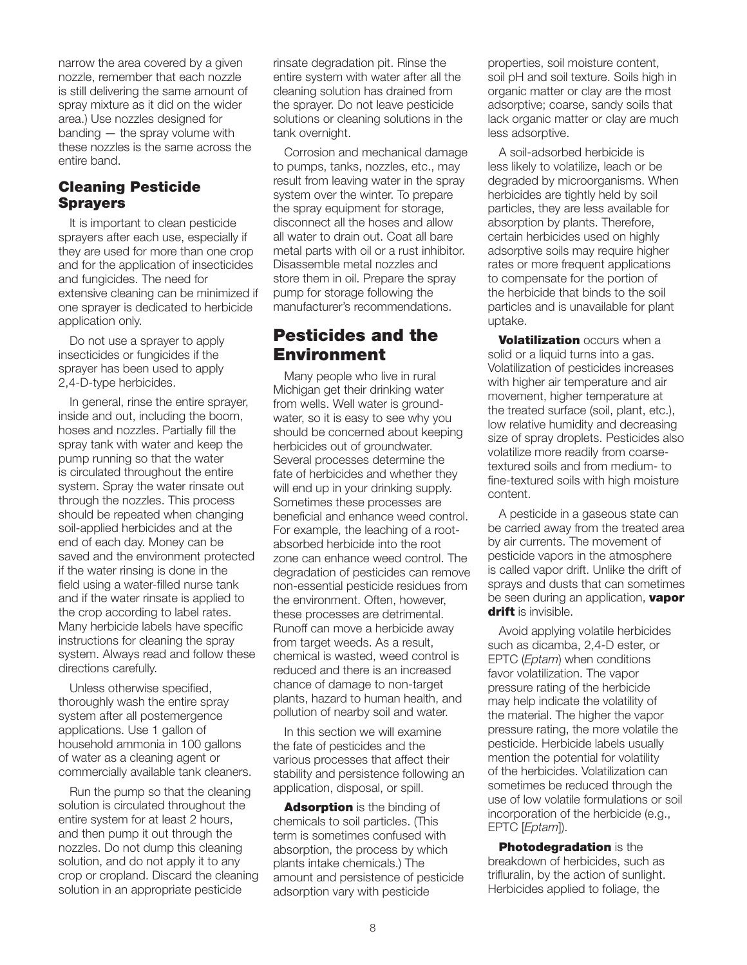narrow the area covered by a given nozzle, remember that each nozzle is still delivering the same amount of spray mixture as it did on the wider area.) Use nozzles designed for banding — the spray volume with these nozzles is the same across the entire band.

### Cleaning Pesticide **Sprayers**

It is important to clean pesticide sprayers after each use, especially if they are used for more than one crop and for the application of insecticides and fungicides. The need for extensive cleaning can be minimized if one sprayer is dedicated to herbicide application only.

Do not use a sprayer to apply insecticides or fungicides if the sprayer has been used to apply 2,4-D-type herbicides.

In general, rinse the entire sprayer, inside and out, including the boom, hoses and nozzles. Partially fill the spray tank with water and keep the pump running so that the water is circulated throughout the entire system. Spray the water rinsate out through the nozzles. This process should be repeated when changing soil-applied herbicides and at the end of each day. Money can be saved and the environment protected if the water rinsing is done in the field using a water-filled nurse tank and if the water rinsate is applied to the crop according to label rates. Many herbicide labels have specific instructions for cleaning the spray system. Always read and follow these directions carefully.

Unless otherwise specified, thoroughly wash the entire spray system after all postemergence applications. Use 1 gallon of household ammonia in 100 gallons of water as a cleaning agent or commercially available tank cleaners.

Run the pump so that the cleaning solution is circulated throughout the entire system for at least 2 hours, and then pump it out through the nozzles. Do not dump this cleaning solution, and do not apply it to any crop or cropland. Discard the cleaning solution in an appropriate pesticide

rinsate degradation pit. Rinse the entire system with water after all the cleaning solution has drained from the sprayer. Do not leave pesticide solutions or cleaning solutions in the tank overnight.

Corrosion and mechanical damage to pumps, tanks, nozzles, etc., may result from leaving water in the spray system over the winter. To prepare the spray equipment for storage, disconnect all the hoses and allow all water to drain out. Coat all bare metal parts with oil or a rust inhibitor. Disassemble metal nozzles and store them in oil. Prepare the spray pump for storage following the manufacturer's recommendations.

# Pesticides and the Environment

Many people who live in rural Michigan get their drinking water from wells. Well water is groundwater, so it is easy to see why you should be concerned about keeping herbicides out of groundwater. Several processes determine the fate of herbicides and whether they will end up in your drinking supply. Sometimes these processes are beneficial and enhance weed control. For example, the leaching of a rootabsorbed herbicide into the root zone can enhance weed control. The degradation of pesticides can remove non-essential pesticide residues from the environment. Often, however, these processes are detrimental. Runoff can move a herbicide away from target weeds. As a result, chemical is wasted, weed control is reduced and there is an increased chance of damage to non-target plants, hazard to human health, and pollution of nearby soil and water.

In this section we will examine the fate of pesticides and the various processes that affect their stability and persistence following an application, disposal, or spill.

**Adsorption** is the binding of chemicals to soil particles. (This term is sometimes confused with absorption, the process by which plants intake chemicals.) The amount and persistence of pesticide adsorption vary with pesticide

properties, soil moisture content, soil pH and soil texture. Soils high in organic matter or clay are the most adsorptive; coarse, sandy soils that lack organic matter or clay are much less adsorptive.

A soil-adsorbed herbicide is less likely to volatilize, leach or be degraded by microorganisms. When herbicides are tightly held by soil particles, they are less available for absorption by plants. Therefore, certain herbicides used on highly adsorptive soils may require higher rates or more frequent applications to compensate for the portion of the herbicide that binds to the soil particles and is unavailable for plant uptake.

**Volatilization occurs when a** solid or a liquid turns into a gas. Volatilization of pesticides increases with higher air temperature and air movement, higher temperature at the treated surface (soil, plant, etc.), low relative humidity and decreasing size of spray droplets. Pesticides also volatilize more readily from coarsetextured soils and from medium- to fine-textured soils with high moisture content.

A pesticide in a gaseous state can be carried away from the treated area by air currents. The movement of pesticide vapors in the atmosphere is called vapor drift. Unlike the drift of sprays and dusts that can sometimes be seen during an application, vapor drift is invisible.

Avoid applying volatile herbicides such as dicamba, 2,4-D ester, or EPTC (*Eptam*) when conditions favor volatilization. The vapor pressure rating of the herbicide may help indicate the volatility of the material. The higher the vapor pressure rating, the more volatile the pesticide. Herbicide labels usually mention the potential for volatility of the herbicides. Volatilization can sometimes be reduced through the use of low volatile formulations or soil incorporation of the herbicide (e.g., EPTC [*Eptam*]).

**Photodegradation** is the breakdown of herbicides, such as trifluralin, by the action of sunlight. Herbicides applied to foliage, the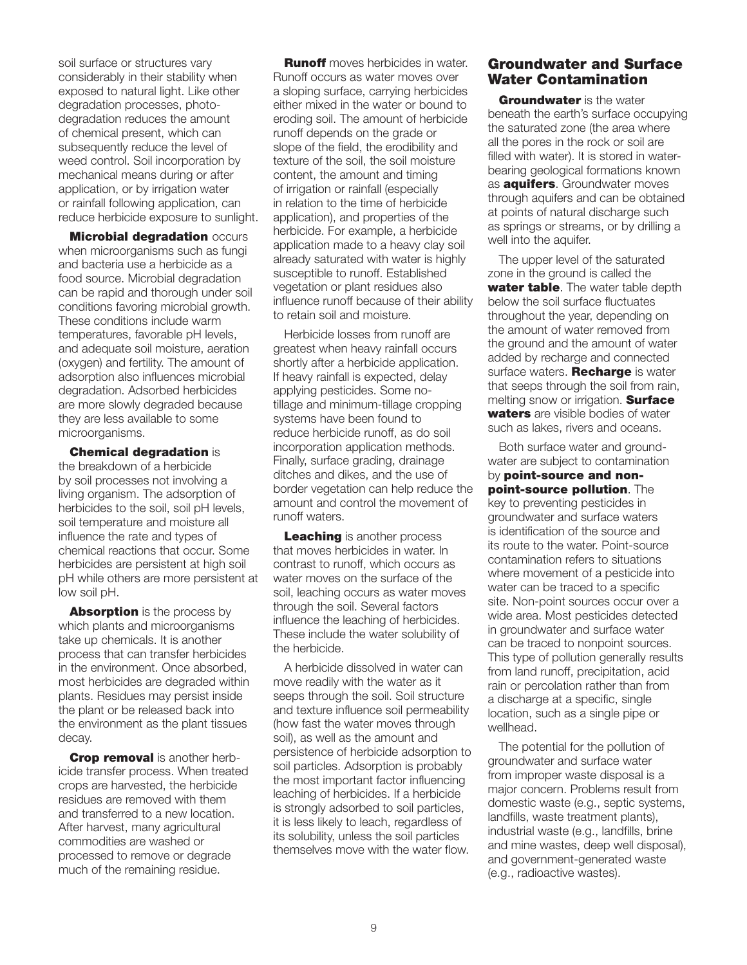soil surface or structures vary considerably in their stability when exposed to natural light. Like other degradation processes, photodegradation reduces the amount of chemical present, which can subsequently reduce the level of weed control. Soil incorporation by mechanical means during or after application, or by irrigation water or rainfall following application, can reduce herbicide exposure to sunlight.

**Microbial degradation occurs** when microorganisms such as fungi and bacteria use a herbicide as a food source. Microbial degradation can be rapid and thorough under soil conditions favoring microbial growth. These conditions include warm temperatures, favorable pH levels, and adequate soil moisture, aeration (oxygen) and fertility. The amount of adsorption also influences microbial degradation. Adsorbed herbicides are more slowly degraded because they are less available to some microorganisms.

Chemical degradation is

the breakdown of a herbicide by soil processes not involving a living organism. The adsorption of herbicides to the soil, soil pH levels, soil temperature and moisture all influence the rate and types of chemical reactions that occur. Some herbicides are persistent at high soil pH while others are more persistent at low soil pH.

**Absorption** is the process by which plants and microorganisms take up chemicals. It is another process that can transfer herbicides in the environment. Once absorbed, most herbicides are degraded within plants. Residues may persist inside the plant or be released back into the environment as the plant tissues decay.

Crop removal is another herbicide transfer process. When treated crops are harvested, the herbicide residues are removed with them and transferred to a new location. After harvest, many agricultural commodities are washed or processed to remove or degrade much of the remaining residue.

**Runoff** moves herbicides in water. Runoff occurs as water moves over a sloping surface, carrying herbicides either mixed in the water or bound to eroding soil. The amount of herbicide runoff depends on the grade or slope of the field, the erodibility and texture of the soil, the soil moisture content, the amount and timing of irrigation or rainfall (especially in relation to the time of herbicide application), and properties of the herbicide. For example, a herbicide application made to a heavy clay soil already saturated with water is highly susceptible to runoff. Established vegetation or plant residues also influence runoff because of their ability to retain soil and moisture.

Herbicide losses from runoff are greatest when heavy rainfall occurs shortly after a herbicide application. If heavy rainfall is expected, delay applying pesticides. Some notillage and minimum-tillage cropping systems have been found to reduce herbicide runoff, as do soil incorporation application methods. Finally, surface grading, drainage ditches and dikes, and the use of border vegetation can help reduce the amount and control the movement of runoff waters.

Leaching is another process that moves herbicides in water. In contrast to runoff, which occurs as water moves on the surface of the soil, leaching occurs as water moves through the soil. Several factors influence the leaching of herbicides. These include the water solubility of the herbicide.

A herbicide dissolved in water can move readily with the water as it seeps through the soil. Soil structure and texture influence soil permeability (how fast the water moves through soil), as well as the amount and persistence of herbicide adsorption to soil particles. Adsorption is probably the most important factor influencing leaching of herbicides. If a herbicide is strongly adsorbed to soil particles, it is less likely to leach, regardless of its solubility, unless the soil particles themselves move with the water flow.

### Groundwater and Surface Water Contamination

**Groundwater** is the water beneath the earth's surface occupying the saturated zone (the area where all the pores in the rock or soil are filled with water). It is stored in waterbearing geological formations known as **aquifers**. Groundwater moves through aquifers and can be obtained at points of natural discharge such as springs or streams, or by drilling a well into the aquifer.

The upper level of the saturated zone in the ground is called the water table. The water table depth below the soil surface fluctuates throughout the year, depending on the amount of water removed from the ground and the amount of water added by recharge and connected surface waters. **Recharge** is water that seeps through the soil from rain, melting snow or irrigation. **Surface** waters are visible bodies of water such as lakes, rivers and oceans.

Both surface water and groundwater are subject to contamination by point-source and nonpoint-source pollution. The key to preventing pesticides in groundwater and surface waters is identification of the source and its route to the water. Point-source contamination refers to situations where movement of a pesticide into water can be traced to a specific site. Non-point sources occur over a wide area. Most pesticides detected in groundwater and surface water can be traced to nonpoint sources. This type of pollution generally results from land runoff, precipitation, acid rain or percolation rather than from a discharge at a specific, single location, such as a single pipe or wellhead.

The potential for the pollution of groundwater and surface water from improper waste disposal is a major concern. Problems result from domestic waste (e.g., septic systems, landfills, waste treatment plants), industrial waste (e.g., landfills, brine and mine wastes, deep well disposal), and government-generated waste (e.g., radioactive wastes).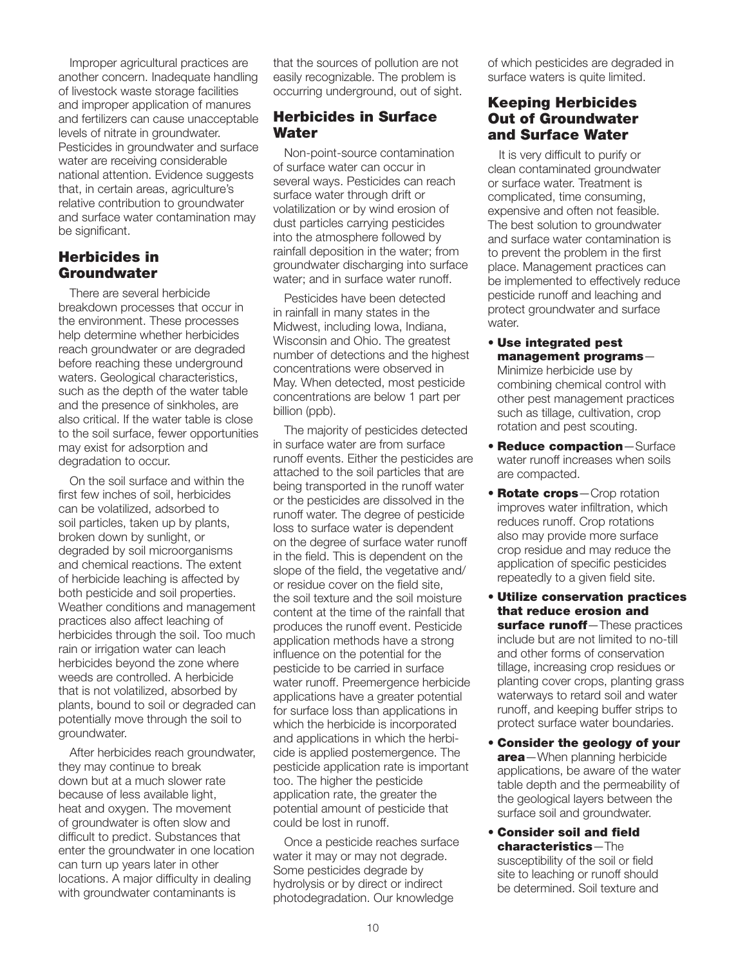Improper agricultural practices are another concern. Inadequate handling of livestock waste storage facilities and improper application of manures and fertilizers can cause unacceptable levels of nitrate in groundwater. Pesticides in groundwater and surface water are receiving considerable national attention. Evidence suggests that, in certain areas, agriculture's relative contribution to groundwater and surface water contamination may be significant.

#### Herbicides in **Groundwater**

There are several herbicide breakdown processes that occur in the environment. These processes help determine whether herbicides reach groundwater or are degraded before reaching these underground waters. Geological characteristics, such as the depth of the water table and the presence of sinkholes, are also critical. If the water table is close to the soil surface, fewer opportunities may exist for adsorption and degradation to occur.

On the soil surface and within the first few inches of soil, herbicides can be volatilized, adsorbed to soil particles, taken up by plants, broken down by sunlight, or degraded by soil microorganisms and chemical reactions. The extent of herbicide leaching is affected by both pesticide and soil properties. Weather conditions and management practices also affect leaching of herbicides through the soil. Too much rain or irrigation water can leach herbicides beyond the zone where weeds are controlled. A herbicide that is not volatilized, absorbed by plants, bound to soil or degraded can potentially move through the soil to groundwater.

After herbicides reach groundwater. they may continue to break down but at a much slower rate because of less available light, heat and oxygen. The movement of groundwater is often slow and difficult to predict. Substances that enter the groundwater in one location can turn up years later in other locations. A major difficulty in dealing with groundwater contaminants is

that the sources of pollution are not easily recognizable. The problem is occurring underground, out of sight.

### Herbicides in Surface **Water**

Non-point-source contamination of surface water can occur in several ways. Pesticides can reach surface water through drift or volatilization or by wind erosion of dust particles carrying pesticides into the atmosphere followed by rainfall deposition in the water; from groundwater discharging into surface water; and in surface water runoff.

Pesticides have been detected in rainfall in many states in the Midwest, including Iowa, Indiana, Wisconsin and Ohio. The greatest number of detections and the highest concentrations were observed in May. When detected, most pesticide concentrations are below 1 part per billion (ppb).

The majority of pesticides detected in surface water are from surface runoff events. Either the pesticides are attached to the soil particles that are being transported in the runoff water or the pesticides are dissolved in the runoff water. The degree of pesticide loss to surface water is dependent on the degree of surface water runoff in the field. This is dependent on the slope of the field, the vegetative and/ or residue cover on the field site, the soil texture and the soil moisture content at the time of the rainfall that produces the runoff event. Pesticide application methods have a strong influence on the potential for the pesticide to be carried in surface water runoff. Preemergence herbicide applications have a greater potential for surface loss than applications in which the herbicide is incorporated and applications in which the herbicide is applied postemergence. The pesticide application rate is important too. The higher the pesticide application rate, the greater the potential amount of pesticide that could be lost in runoff.

Once a pesticide reaches surface water it may or may not degrade. Some pesticides degrade by hydrolysis or by direct or indirect photodegradation. Our knowledge

of which pesticides are degraded in surface waters is quite limited.

### Keeping Herbicides Out of Groundwater and Surface Water

It is very difficult to purify or clean contaminated groundwater or surface water. Treatment is complicated, time consuming, expensive and often not feasible. The best solution to groundwater and surface water contamination is to prevent the problem in the first place. Management practices can be implemented to effectively reduce pesticide runoff and leaching and protect groundwater and surface water.

- Use integrated pest management programs— Minimize herbicide use by combining chemical control with other pest management practices such as tillage, cultivation, crop rotation and pest scouting.
- Reduce compaction—Surface water runoff increases when soils are compacted.
- Rotate crops-Crop rotation improves water infiltration, which reduces runoff. Crop rotations also may provide more surface crop residue and may reduce the application of specific pesticides repeatedly to a given field site.
- Utilize conservation practices that reduce erosion and surface runoff-These practices include but are not limited to no-till and other forms of conservation tillage, increasing crop residues or planting cover crops, planting grass waterways to retard soil and water runoff, and keeping buffer strips to protect surface water boundaries.
- Consider the geology of your area-When planning herbicide applications, be aware of the water table depth and the permeability of the geological layers between the surface soil and groundwater.
- Consider soil and field characteristics—The susceptibility of the soil or field site to leaching or runoff should be determined. Soil texture and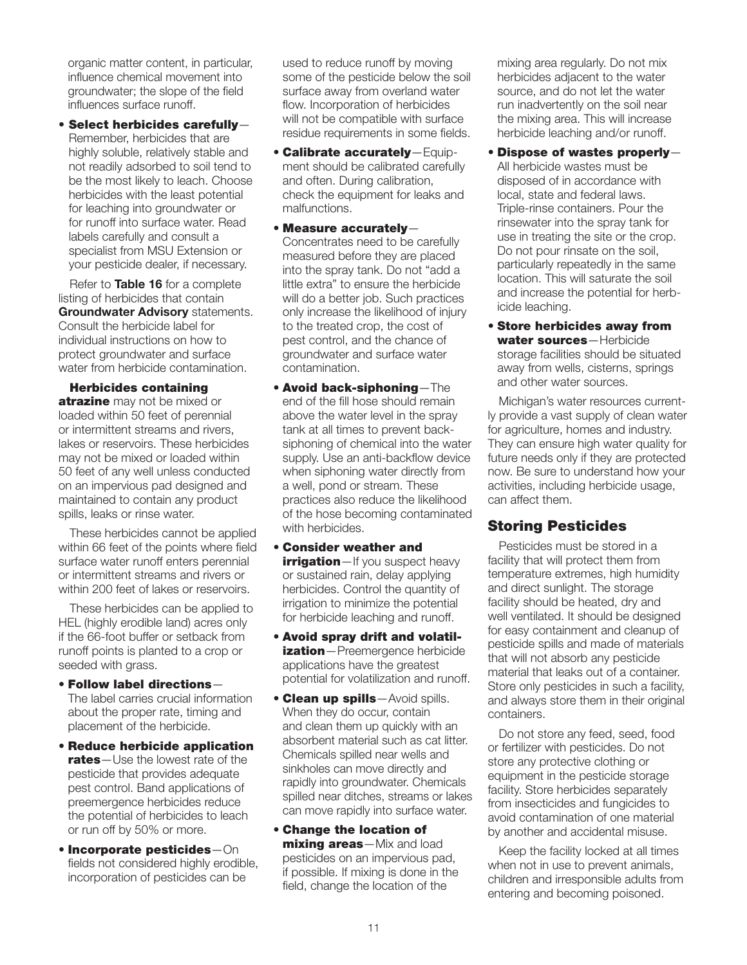organic matter content, in particular, influence chemical movement into groundwater; the slope of the field influences surface runoff.

• Select herbicides carefully— Remember, herbicides that are highly soluble, relatively stable and not readily adsorbed to soil tend to be the most likely to leach. Choose herbicides with the least potential for leaching into groundwater or for runoff into surface water. Read labels carefully and consult a specialist from MSU Extension or your pesticide dealer, if necessary.

Refer to Table 16 for a complete listing of herbicides that contain Groundwater Advisory statements. Consult the herbicide label for individual instructions on how to protect groundwater and surface water from herbicide contamination.

Herbicides containing atrazine may not be mixed or loaded within 50 feet of perennial or intermittent streams and rivers, lakes or reservoirs. These herbicides may not be mixed or loaded within 50 feet of any well unless conducted on an impervious pad designed and maintained to contain any product spills, leaks or rinse water.

These herbicides cannot be applied within 66 feet of the points where field surface water runoff enters perennial or intermittent streams and rivers or within 200 feet of lakes or reservoirs.

These herbicides can be applied to HEL (highly erodible land) acres only if the 66-foot buffer or setback from runoff points is planted to a crop or seeded with grass.

- Follow label directions— The label carries crucial information about the proper rate, timing and placement of the herbicide.
- Reduce herbicide application rates-Use the lowest rate of the pesticide that provides adequate pest control. Band applications of preemergence herbicides reduce the potential of herbicides to leach or run off by 50% or more.
- Incorporate pesticides—On fields not considered highly erodible, incorporation of pesticides can be

used to reduce runoff by moving some of the pesticide below the soil surface away from overland water flow. Incorporation of herbicides will not be compatible with surface residue requirements in some fields.

- Calibrate accurately—Equipment should be calibrated carefully and often. During calibration, check the equipment for leaks and malfunctions.
- Measure accurately— Concentrates need to be carefully measured before they are placed into the spray tank. Do not "add a little extra" to ensure the herbicide will do a better job. Such practices only increase the likelihood of injury to the treated crop, the cost of pest control, and the chance of groundwater and surface water contamination.
- Avoid back-siphoning—The end of the fill hose should remain above the water level in the spray tank at all times to prevent backsiphoning of chemical into the water supply. Use an anti-backflow device when siphoning water directly from a well, pond or stream. These practices also reduce the likelihood of the hose becoming contaminated with herbicides.
- Consider weather and irrigation—If you suspect heavy or sustained rain, delay applying herbicides. Control the quantity of irrigation to minimize the potential for herbicide leaching and runoff.
- Avoid spray drift and volatilization-Preemergence herbicide applications have the greatest potential for volatilization and runoff.
- **Clean up spills**—Avoid spills. When they do occur, contain and clean them up quickly with an absorbent material such as cat litter. Chemicals spilled near wells and sinkholes can move directly and rapidly into groundwater. Chemicals spilled near ditches, streams or lakes can move rapidly into surface water.
- Change the location of mixing areas-Mix and load pesticides on an impervious pad, if possible. If mixing is done in the field, change the location of the

mixing area regularly. Do not mix herbicides adjacent to the water source, and do not let the water run inadvertently on the soil near the mixing area. This will increase herbicide leaching and/or runoff.

- Dispose of wastes properly— All herbicide wastes must be disposed of in accordance with local, state and federal laws. Triple-rinse containers. Pour the rinsewater into the spray tank for use in treating the site or the crop. Do not pour rinsate on the soil, particularly repeatedly in the same location. This will saturate the soil and increase the potential for herbicide leaching.
- Store herbicides away from water sources-Herbicide storage facilities should be situated away from wells, cisterns, springs and other water sources.

Michigan's water resources currently provide a vast supply of clean water for agriculture, homes and industry. They can ensure high water quality for future needs only if they are protected now. Be sure to understand how your activities, including herbicide usage, can affect them.

### Storing Pesticides

Pesticides must be stored in a facility that will protect them from temperature extremes, high humidity and direct sunlight. The storage facility should be heated, dry and well ventilated. It should be designed for easy containment and cleanup of pesticide spills and made of materials that will not absorb any pesticide material that leaks out of a container. Store only pesticides in such a facility, and always store them in their original containers.

Do not store any feed, seed, food or fertilizer with pesticides. Do not store any protective clothing or equipment in the pesticide storage facility. Store herbicides separately from insecticides and fungicides to avoid contamination of one material by another and accidental misuse.

Keep the facility locked at all times when not in use to prevent animals, children and irresponsible adults from entering and becoming poisoned.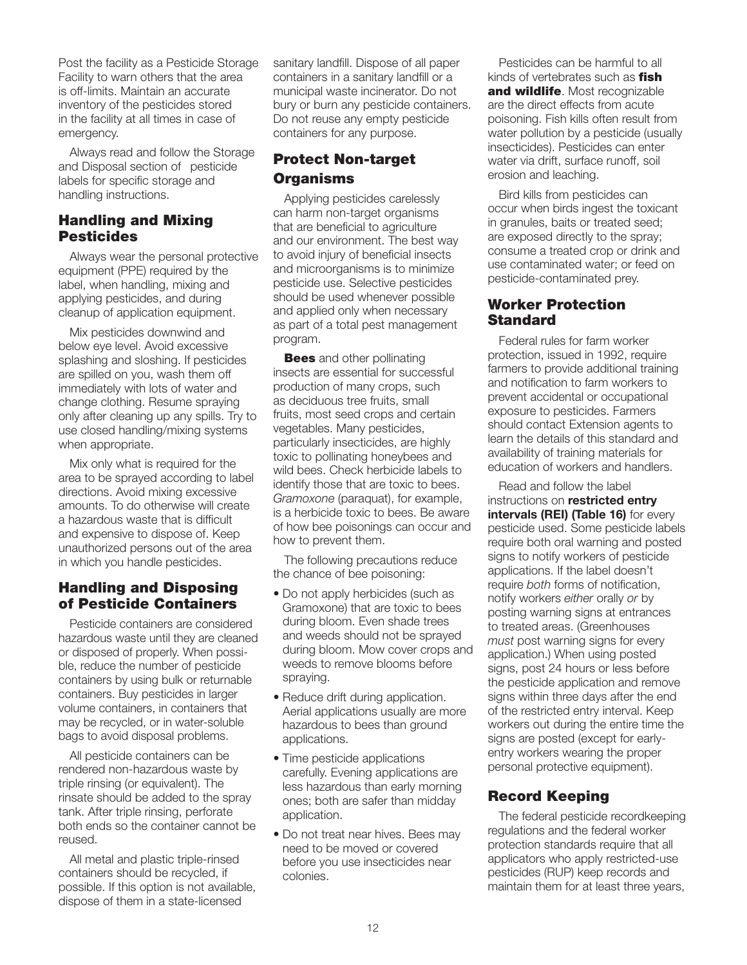Post the facility as a Pesticide Storage Facility to warn others that the area is off-limits. Maintain an accurate inventory of the pesticides stored in the facility at all times in case of emergency.

Always read and follow the Storage and Disposal section of pesticide labels for specific storage and handling instructions.

### Handling and Mixing **Pesticides**

Always wear the personal protective equipment (PPE) required by the label, when handling, mixing and applying pesticides, and during cleanup of application equipment.

Mix pesticides downwind and below eye level. Avoid excessive splashing and sloshing. If pesticides are spilled on you, wash them off immediately with lots of water and change clothing. Resume spraying only after cleaning up any spills. Try to use closed handling/mixing systems when appropriate.

Mix only what is required for the area to be sprayed according to label directions. Avoid mixing excessive amounts. To do otherwise will create a hazardous waste that is difficult and expensive to dispose of. Keep unauthorized persons out of the area in which you handle pesticides.

### Handling and Disposing of Pesticide Containers

Pesticide containers are considered hazardous waste until they are cleaned or disposed of properly. When possible, reduce the number of pesticide containers by using bulk or returnable containers. Buy pesticides in larger volume containers, in containers that may be recycled, or in water-soluble bags to avoid disposal problems.

All pesticide containers can be rendered non-hazardous waste by triple rinsing (or equivalent). The rinsate should be added to the spray tank. After triple rinsing, perforate both ends so the container cannot be reused.

All metal and plastic triple-rinsed containers should be recycled, if possible. If this option is not available, dispose of them in a state-licensed

sanitary landfill. Dispose of all paper containers in a sanitary landfill or a municipal waste incinerator. Do not bury or burn any pesticide containers. Do not reuse any empty pesticide containers for any purpose.

### Protect Non-target **Organisms**

Applying pesticides carelessly can harm non-target organisms that are beneficial to agriculture and our environment. The best way to avoid injury of beneficial insects and microorganisms is to minimize pesticide use. Selective pesticides should be used whenever possible and applied only when necessary as part of a total pest management program.

**Bees** and other pollinating insects are essential for successful production of many crops, such as deciduous tree fruits, small fruits, most seed crops and certain vegetables. Many pesticides, particularly insecticides, are highly toxic to pollinating honeybees and wild bees. Check herbicide labels to identify those that are toxic to bees. *Gramoxone* (paraquat), for example, is a herbicide toxic to bees. Be aware of how bee poisonings can occur and how to prevent them.

The following precautions reduce the chance of bee poisoning:

- Do not apply herbicides (such as Gramoxone) that are toxic to bees during bloom. Even shade trees and weeds should not be sprayed during bloom. Mow cover crops and weeds to remove blooms before spraying.
- Reduce drift during application. Aerial applications usually are more hazardous to bees than ground applications.
- Time pesticide applications carefully. Evening applications are less hazardous than early morning ones; both are safer than midday application.
- Do not treat near hives. Bees may need to be moved or covered before you use insecticides near colonies.

Pesticides can be harmful to all kinds of vertebrates such as **fish** and wildlife. Most recognizable are the direct effects from acute poisoning. Fish kills often result from water pollution by a pesticide (usually insecticides). Pesticides can enter water via drift, surface runoff, soil erosion and leaching.

Bird kills from pesticides can occur when birds ingest the toxicant in granules, baits or treated seed; are exposed directly to the spray; consume a treated crop or drink and use contaminated water; or feed on pesticide-contaminated prey.

#### Worker Protection **Standard**

Federal rules for farm worker protection, issued in 1992, require farmers to provide additional training and notification to farm workers to prevent accidental or occupational exposure to pesticides. Farmers should contact Extension agents to learn the details of this standard and availability of training materials for education of workers and handlers.

Read and follow the label instructions on restricted entry intervals (REI) (Table 16) for every pesticide used. Some pesticide labels require both oral warning and posted signs to notify workers of pesticide applications. If the label doesn't require *both* forms of notification, notify workers *either* orally *or* by posting warning signs at entrances to treated areas. (Greenhouses *must* post warning signs for every application.) When using posted signs, post 24 hours or less before the pesticide application and remove signs within three days after the end of the restricted entry interval. Keep workers out during the entire time the signs are posted (except for earlyentry workers wearing the proper personal protective equipment).

### Record Keeping

The federal pesticide recordkeeping regulations and the federal worker protection standards require that all applicators who apply restricted-use pesticides (RUP) keep records and maintain them for at least three years,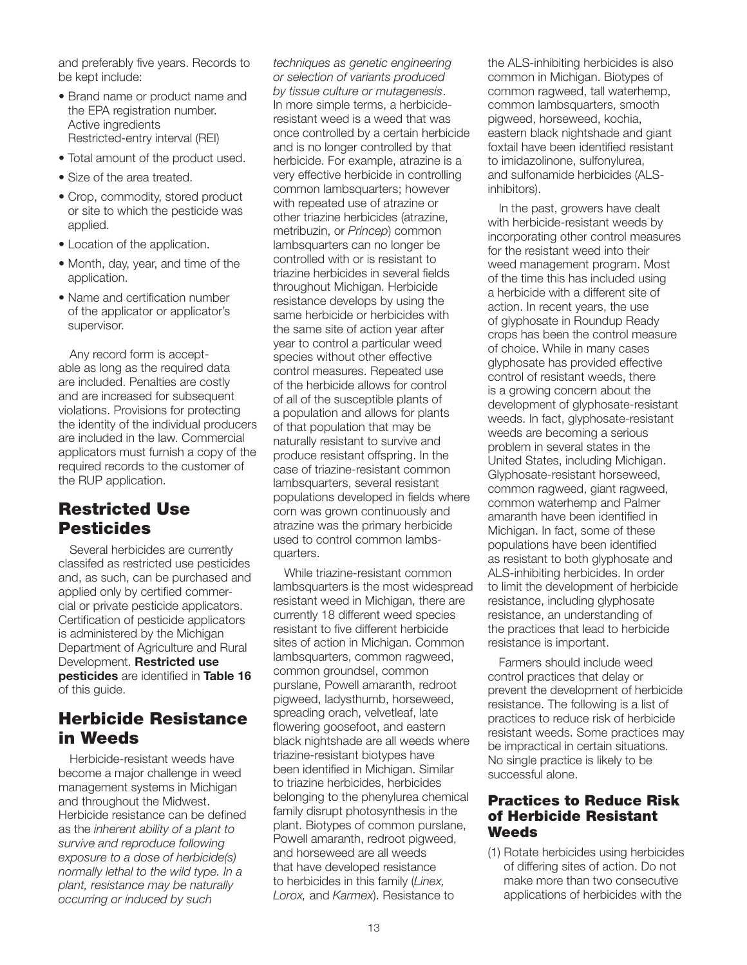and preferably five years. Records to be kept include:

- Brand name or product name and the EPA registration number. Active ingredients Restricted-entry interval (REI)
- Total amount of the product used.
- Size of the area treated.
- Crop, commodity, stored product or site to which the pesticide was applied.
- Location of the application.
- Month, day, year, and time of the application.
- Name and certification number of the applicator or applicator's supervisor.

Any record form is acceptable as long as the required data are included. Penalties are costly and are increased for subsequent violations. Provisions for protecting the identity of the individual producers are included in the law. Commercial applicators must furnish a copy of the required records to the customer of the RUP application.

## Restricted Use **Pesticides**

Several herbicides are currently classifed as restricted use pesticides and, as such, can be purchased and applied only by certified commercial or private pesticide applicators. Certification of pesticide applicators is administered by the Michigan Department of Agriculture and Rural Development. Restricted use pesticides are identified in Table 16 of this guide.

# Herbicide Resistance in Weeds

Herbicide-resistant weeds have become a major challenge in weed management systems in Michigan and throughout the Midwest. Herbicide resistance can be defined as the *inherent ability of a plant to survive and reproduce following exposure to a dose of herbicide(s) normally lethal to the wild type. In a plant, resistance may be naturally occurring or induced by such* 

*techniques as genetic engineering or selection of variants produced by tissue culture or mutagenesis*. In more simple terms, a herbicideresistant weed is a weed that was once controlled by a certain herbicide and is no longer controlled by that herbicide. For example, atrazine is a very effective herbicide in controlling common lambsquarters; however with repeated use of atrazine or other triazine herbicides (atrazine, metribuzin, or *Princep*) common lambsquarters can no longer be controlled with or is resistant to triazine herbicides in several fields throughout Michigan. Herbicide resistance develops by using the same herbicide or herbicides with the same site of action year after year to control a particular weed species without other effective control measures. Repeated use of the herbicide allows for control of all of the susceptible plants of a population and allows for plants of that population that may be naturally resistant to survive and produce resistant offspring. In the case of triazine-resistant common lambsquarters, several resistant populations developed in fields where corn was grown continuously and atrazine was the primary herbicide used to control common lambsquarters.

While triazine-resistant common lambsquarters is the most widespread resistant weed in Michigan, there are currently 18 different weed species resistant to five different herbicide sites of action in Michigan. Common lambsquarters, common ragweed, common groundsel, common purslane, Powell amaranth, redroot pigweed, ladysthumb, horseweed, spreading orach, velvetleaf, late flowering goosefoot, and eastern black nightshade are all weeds where triazine-resistant biotypes have been identified in Michigan. Similar to triazine herbicides, herbicides belonging to the phenylurea chemical family disrupt photosynthesis in the plant. Biotypes of common purslane, Powell amaranth, redroot pigweed, and horseweed are all weeds that have developed resistance to herbicides in this family (*Linex, Lorox,* and *Karmex*). Resistance to

the ALS-inhibiting herbicides is also common in Michigan. Biotypes of common ragweed, tall waterhemp, common lambsquarters, smooth pigweed, horseweed, kochia, eastern black nightshade and giant foxtail have been identified resistant to imidazolinone, sulfonylurea, and sulfonamide herbicides (ALSinhibitors).

In the past, growers have dealt with herbicide-resistant weeds by incorporating other control measures for the resistant weed into their weed management program. Most of the time this has included using a herbicide with a different site of action. In recent years, the use of glyphosate in Roundup Ready crops has been the control measure of choice. While in many cases glyphosate has provided effective control of resistant weeds, there is a growing concern about the development of glyphosate-resistant weeds. In fact, glyphosate-resistant weeds are becoming a serious problem in several states in the United States, including Michigan. Glyphosate-resistant horseweed, common ragweed, giant ragweed, common waterhemp and Palmer amaranth have been identified in Michigan. In fact, some of these populations have been identified as resistant to both glyphosate and ALS-inhibiting herbicides. In order to limit the development of herbicide resistance, including glyphosate resistance, an understanding of the practices that lead to herbicide resistance is important.

Farmers should include weed control practices that delay or prevent the development of herbicide resistance. The following is a list of practices to reduce risk of herbicide resistant weeds. Some practices may be impractical in certain situations. No single practice is likely to be successful alone.

#### Practices to Reduce Risk of Herbicide Resistant **Weeds**

(1) Rotate herbicides using herbicides of differing sites of action. Do not make more than two consecutive applications of herbicides with the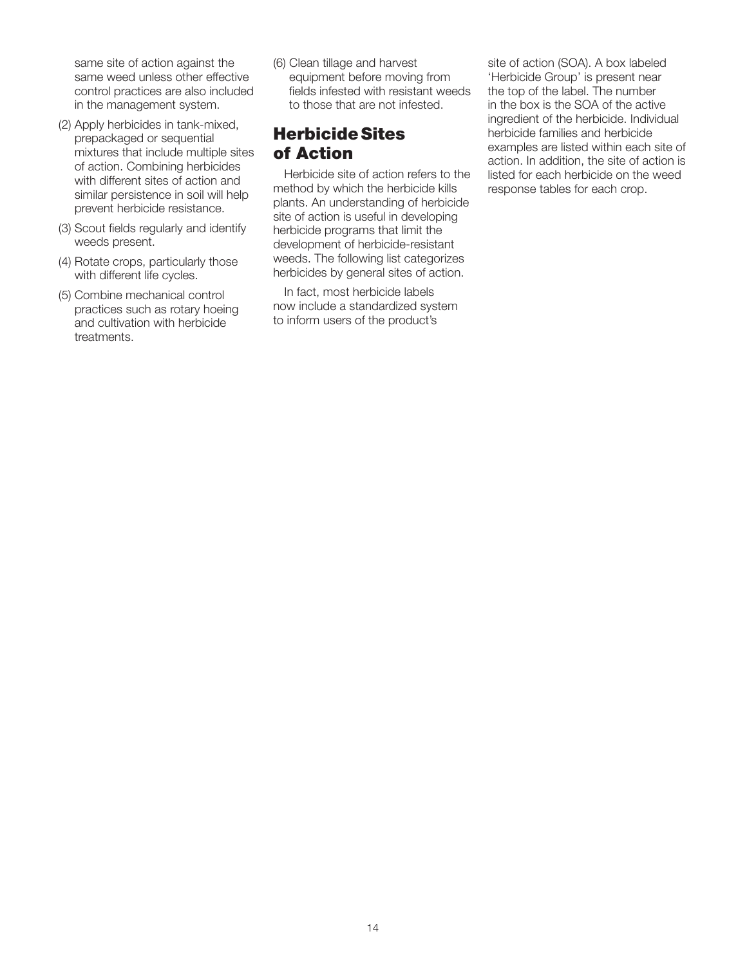same site of action against the same weed unless other effective control practices are also included in the management system.

- (2) Apply herbicides in tank-mixed, prepackaged or sequential mixtures that include multiple sites of action. Combining herbicides with different sites of action and similar persistence in soil will help prevent herbicide resistance.
- (3) Scout fields regularly and identify weeds present.
- (4) Rotate crops, particularly those with different life cycles.
- (5) Combine mechanical control practices such as rotary hoeing and cultivation with herbicide treatments.

(6) Clean tillage and harvest equipment before moving from fields infested with resistant weeds to those that are not infested.

# HerbicideSites of Action

Herbicide site of action refers to the method by which the herbicide kills plants. An understanding of herbicide site of action is useful in developing herbicide programs that limit the development of herbicide-resistant weeds. The following list categorizes herbicides by general sites of action.

In fact, most herbicide labels now include a standardized system to inform users of the product's

site of action (SOA). A box labeled 'Herbicide Group' is present near the top of the label. The number in the box is the SOA of the active ingredient of the herbicide. Individual herbicide families and herbicide examples are listed within each site of action. In addition, the site of action is listed for each herbicide on the weed response tables for each crop.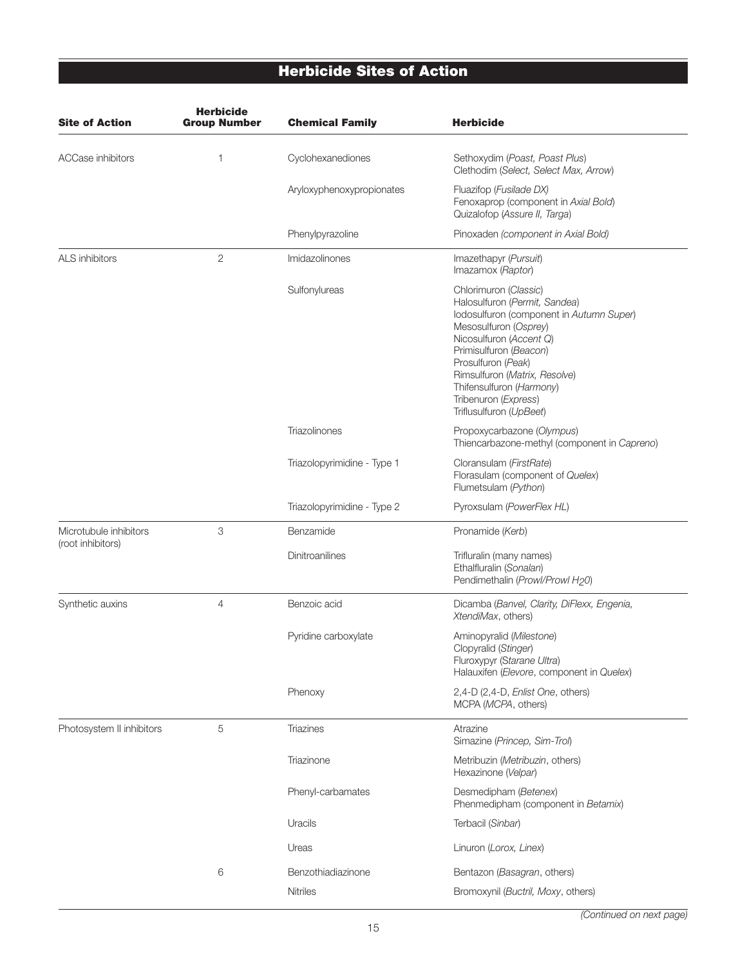# Herbicide Sites of Action

| <b>Site of Action</b>                       | <b>Herbicide</b><br><b>Group Number</b> | <b>Chemical Family</b>      | <b>Herbicide</b>                                                                                                                                                                                                                                                                                                       |
|---------------------------------------------|-----------------------------------------|-----------------------------|------------------------------------------------------------------------------------------------------------------------------------------------------------------------------------------------------------------------------------------------------------------------------------------------------------------------|
| <b>ACCase inhibitors</b>                    | 1                                       | Cyclohexanediones           | Sethoxydim (Poast, Poast Plus)<br>Clethodim (Select, Select Max, Arrow)                                                                                                                                                                                                                                                |
|                                             |                                         | Aryloxyphenoxypropionates   | Fluazifop (Fusilade DX)<br>Fenoxaprop (component in Axial Bold)<br>Quizalofop (Assure II, Targa)                                                                                                                                                                                                                       |
|                                             |                                         | Phenylpyrazoline            | Pinoxaden (component in Axial Bold)                                                                                                                                                                                                                                                                                    |
| <b>ALS</b> inhibitors                       | $\mathbf{2}$                            | Imidazolinones              | Imazethapyr (Pursuit)<br>Imazamox (Raptor)                                                                                                                                                                                                                                                                             |
|                                             |                                         | Sulfonylureas               | Chlorimuron (Classic)<br>Halosulfuron (Permit, Sandea)<br>lodosulfuron (component in Autumn Super)<br>Mesosulfuron (Osprey)<br>Nicosulfuron (Accent Q)<br>Primisulfuron (Beacon)<br>Prosulfuron (Peak)<br>Rimsulfuron (Matrix, Resolve)<br>Thifensulfuron (Harmony)<br>Tribenuron (Express)<br>Triflusulfuron (UpBeet) |
|                                             |                                         | Triazolinones               | Propoxycarbazone (Olympus)<br>Thiencarbazone-methyl (component in Capreno)                                                                                                                                                                                                                                             |
|                                             |                                         | Triazolopyrimidine - Type 1 | Cloransulam (FirstRate)<br>Florasulam (component of Quelex)<br>Flumetsulam (Python)                                                                                                                                                                                                                                    |
|                                             |                                         | Triazolopyrimidine - Type 2 | Pyroxsulam (PowerFlex HL)                                                                                                                                                                                                                                                                                              |
| Microtubule inhibitors<br>(root inhibitors) | 3                                       | Benzamide                   | Pronamide (Kerb)                                                                                                                                                                                                                                                                                                       |
|                                             |                                         | Dinitroanilines             | Trifluralin (many names)<br>Ethalfluralin (Sonalan)<br>Pendimethalin (Prowl/Prowl H20)                                                                                                                                                                                                                                 |
| Synthetic auxins                            | 4                                       | Benzoic acid                | Dicamba (Banvel, Clarity, DiFlexx, Engenia,<br>XtendiMax, others)                                                                                                                                                                                                                                                      |
|                                             |                                         | Pyridine carboxylate        | Aminopyralid (Milestone)<br>Clopyralid (Stinger)<br>Fluroxypyr (Starane Ultra)<br>Halauxifen (Elevore, component in Quelex)                                                                                                                                                                                            |
|                                             |                                         | Phenoxy                     | 2,4-D (2,4-D, Enlist One, others)<br>MCPA (MCPA, others)                                                                                                                                                                                                                                                               |
| Photosystem II inhibitors                   | 5                                       | Triazines                   | Atrazine<br>Simazine (Princep, Sim-Trol)                                                                                                                                                                                                                                                                               |
|                                             |                                         | Triazinone                  | Metribuzin (Metribuzin, others)<br>Hexazinone (Velpar)                                                                                                                                                                                                                                                                 |
|                                             |                                         | Phenyl-carbamates           | Desmedipham (Betenex)<br>Phenmedipham (component in Betamix)                                                                                                                                                                                                                                                           |
|                                             |                                         | Uracils                     | Terbacil (Sinbar)                                                                                                                                                                                                                                                                                                      |
|                                             |                                         | Ureas                       | Linuron (Lorox, Linex)                                                                                                                                                                                                                                                                                                 |
|                                             | 6                                       | Benzothiadiazinone          | Bentazon (Basagran, others)                                                                                                                                                                                                                                                                                            |
|                                             |                                         | <b>Nitriles</b>             | Bromoxynil (Buctril, Moxy, others)                                                                                                                                                                                                                                                                                     |